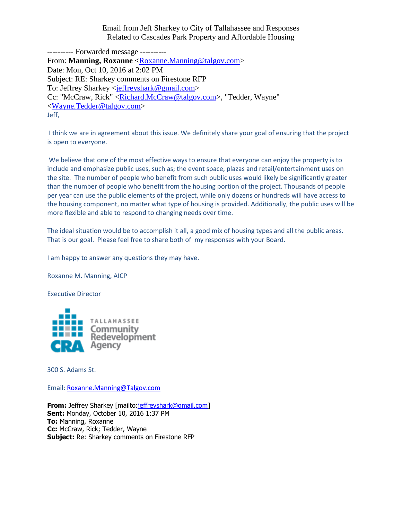Email from Jeff Sharkey to City of Tallahassee and Responses Related to Cascades Park Property and Affordable Housing

---------- Forwarded message ---------- From: **Manning, Roxanne** [<Roxanne.Manning@talgov.com>](mailto:Roxanne.Manning@talgov.com) Date: Mon, Oct 10, 2016 at 2:02 PM Subject: RE: Sharkey comments on Firestone RFP To: Jeffrey Sharkey [<jeffreyshark@gmail.com>](mailto:jeffreyshark@gmail.com) Cc: "McCraw, Rick" [<Richard.McCraw@talgov.com>](mailto:Richard.McCraw@talgov.com), "Tedder, Wayne" [<Wayne.Tedder@talgov.com>](mailto:Wayne.Tedder@talgov.com) Jeff,

I think we are in agreement about this issue. We definitely share your goal of ensuring that the project is open to everyone.

We believe that one of the most effective ways to ensure that everyone can enjoy the property is to include and emphasize public uses, such as; the event space, plazas and retail/entertainment uses on the site. The number of people who benefit from such public uses would likely be significantly greater than the number of people who benefit from the housing portion of the project. Thousands of people per year can use the public elements of the project, while only dozens or hundreds will have access to the housing component, no matter what type of housing is provided. Additionally, the public uses will be more flexible and able to respond to changing needs over time.

The ideal situation would be to accomplish it all, a good mix of housing types and all the public areas. That is our goal. Please feel free to share both of my responses with your Board.

I am happy to answer any questions they may have.

Roxanne M. Manning, AICP

Executive Director



300 S. Adams St.

Email: [Roxanne.Manning@Talgov.com](mailto:Roxanne.Manning@Talgov.com)

**From:** Jeffrey Sharkey [mailto[:jeffreyshark@gmail.com\]](mailto:jeffreyshark@gmail.com) **Sent:** Monday, October 10, 2016 1:37 PM **To:** Manning, Roxanne **Cc:** McCraw, Rick; Tedder, Wayne **Subject:** Re: Sharkey comments on Firestone RFP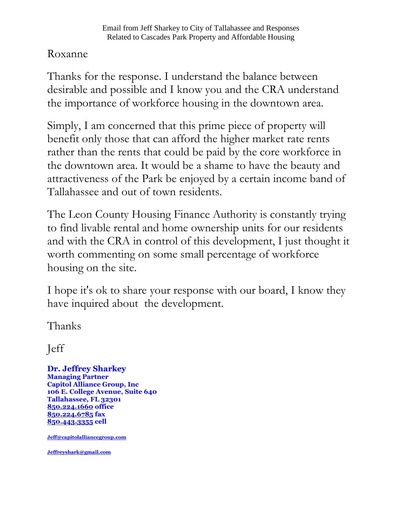## Roxanne

Thanks for the response. I understand the balance between desirable and possible and I know you and the CRA understand the importance of workforce housing in the downtown area.

Simply, I am concerned that this prime piece of property will benefit only those that can afford the higher market rate rents rather than the rents that could be paid by the core workforce in the downtown area. It would be a shame to have the beauty and attractiveness of the Park be enjoyed by a certain income band of Tallahassee and out of town residents.

The Leon County Housing Finance Authority is constantly trying to find livable rental and home ownership units for our residents and with the CRA in control of this development, I just thought it worth commenting on some small percentage of workforce housing on the site.

I hope it's ok to share your response with our board, I know they have inquired about the development.

Thanks

Jeff

**Dr. Jeffrey Sharkey Managing Partner Capitol Alliance Group, Inc 106 E. College Avenue, Suite 640 Tallahassee, FL 32301 [850.224.1660](tel:850.224.1660) office [850.224.6785](tel:850.224.6785) fax [850.443.3355](tel:850.443.3355) cell**

**[Jeff@capitolalliancegroup.com](mailto:Jeff@capitolalliancegroup.com)**

**[Jeffreyshark@gmail.com](mailto:Jeffreyshark@gmail.com)**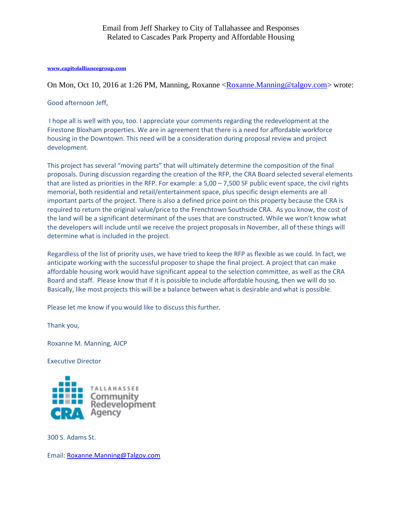## **[www.capitolalliancegroup.com](http://www.capitolalliancegroup.com/)**

On Mon, Oct 10, 2016 at 1:26 PM, Manning, Roxanne [<Roxanne.Manning@talgov.com>](mailto:Roxanne.Manning@talgov.com) wrote:

## Good afternoon Jeff,

I hope all is well with you, too. I appreciate your comments regarding the redevelopment at the Firestone Bloxham properties. We are in agreement that there is a need for affordable workforce housing in the Downtown. This need will be a consideration during proposal review and project development.

This project has several "moving parts" that will ultimately determine the composition of the final proposals. During discussion regarding the creation of the RFP, the CRA Board selected several elements that are listed as priorities in the RFP. For example: a 5,00 – 7,500 SF public event space, the civil rights memorial, both residential and retail/entertainment space, plus specific design elements are all important parts of the project. There is also a defined price point on this property because the CRA is required to return the original value/price to the Frenchtown Southside CRA. As you know, the cost of the land will be a significant determinant of the uses that are constructed. While we won't know what the developers will include until we receive the project proposals in November, all of these things will determine what is included in the project.

Regardless of the list of priority uses, we have tried to keep the RFP as flexible as we could. In fact, we anticipate working with the successful proposer to shape the final project. A project that can make affordable housing work would have significant appeal to the selection committee, as well as the CRA Board and staff. Please know that if it is possible to include affordable housing, then we will do so. Basically, like most projects this will be a balance between what is desirable and what is possible.

Please let me know if you would like to discuss this further.

Thank you,

Roxanne M. Manning, AICP

Executive Director



300 S. Adams St.

Email: [Roxanne.Manning@Talgov.com](mailto:Roxanne.Manning@Talgov.com)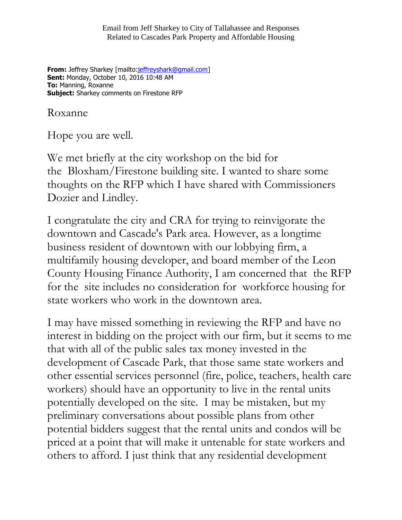Email from Jeff Sharkey to City of Tallahassee and Responses Related to Cascades Park Property and Affordable Housing

**From:** Jeffrey Sharkey [mailto: jeffreyshark@gmail.com] **Sent:** Monday, October 10, 2016 10:48 AM **To:** Manning, Roxanne **Subject:** Sharkey comments on Firestone RFP

Roxanne

Hope you are well.

We met briefly at the city workshop on the bid for the Bloxham/Firestone building site. I wanted to share some thoughts on the RFP which I have shared with Commissioners Dozier and Lindley.

I congratulate the city and CRA for trying to reinvigorate the downtown and Cascade's Park area. However, as a longtime business resident of downtown with our lobbying firm, a multifamily housing developer, and board member of the Leon County Housing Finance Authority, I am concerned that the RFP for the site includes no consideration for workforce housing for state workers who work in the downtown area.

I may have missed something in reviewing the RFP and have no interest in bidding on the project with our firm, but it seems to me that with all of the public sales tax money invested in the development of Cascade Park, that those same state workers and other essential services personnel (fire, police, teachers, health care workers) should have an opportunity to live in the rental units potentially developed on the site. I may be mistaken, but my preliminary conversations about possible plans from other potential bidders suggest that the rental units and condos will be priced at a point that will make it untenable for state workers and others to afford. I just think that any residential development